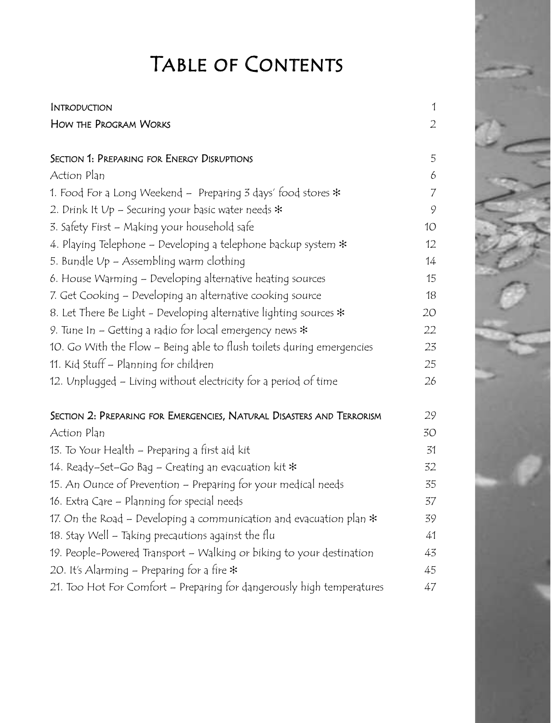## Table of Contents

| INTRODUCTION                                                            | 1              |
|-------------------------------------------------------------------------|----------------|
| HOW THE PROGRAM WORKS                                                   | $\overline{2}$ |
|                                                                         |                |
| SECTION 1: PREPARING FOR ENERGY DISRUPTIONS                             | 5              |
| Action Plan                                                             | 6              |
| 1. Food For a Long Weekend – Preparing 3 days' food stores $\ast$       | $\overline{7}$ |
| 2. Drink It Up – Securing your basic water needs $\ast$                 | 9              |
| 3. Safety First – Making your household safe                            | 10             |
| 4. Playing Telephone – Developing a telephone backup system $\ast$      | 12             |
| 5. Bundle Vp – Assembling warm clothing                                 | 14             |
| 6. House Warming – Developing alternative heating sources               | 15             |
| 7. Get Cooking – Developing an alternative cooking source               | 18             |
| 8. Let There Be Light - Developing alternative lighting sources $\ast$  | 20             |
| 9. Tune In – Getting a radio for local emergency news $\ast$            | 22             |
| 10. Go With the Flow – Being able to flush toilets during emergencies   | 23             |
| 11. Kid Stuff – Planning for children                                   | 25             |
| 12. Unplugged – Living without electricity for a period of time         | 26             |
| Section 2: Preparing for Emergencies, Natural Disasters and Terrorism   | 29             |
| Action Plan                                                             | 30             |
| 13. To Your Health – Preparing a first aid kit                          | 31             |
| 14. Ready–Set–Go Bag – Creating an evacuation kit $\ast$                | 32             |
| 15. An Ounce of Prevention – Preparing for your medical needs           | 35             |
| 16. Extra Care – Planning for special needs                             | 37             |
| 17. On the Road – Developing a communication and evacuation plan $\ast$ | 39             |
| 18. Stay Well – Taking precautions against the flu                      | 41             |
| 19. People-Powered Transport – Walking or biking to your destination    | 43             |
| 20. It's Alarming – Preparing for a fire $\ast$                         | 45             |
| 21. Too Hot For Comfort – Preparing for dangerously high temperatures   | 47             |